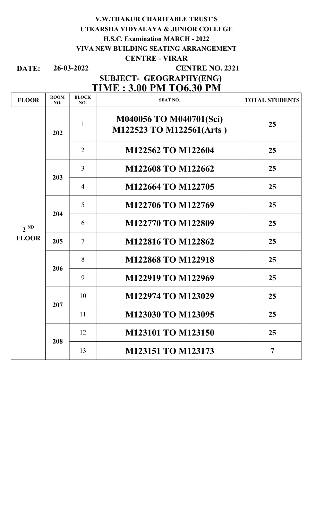### V.W.THAKUR CHARITABLE TRUST'S UTKARSHA VIDYALAYA & JUNIOR COLLEGE H.S.C. Examination MARCH - 2022 VIVA NEW BUILDING SEATING ARRANGEMENT CENTRE - VIRAR

DATE: 26-03-2022

### CENTRE NO. 2321

## TIME : 3.00 PM TO6.30 PM SUBJECT- GEOGRAPHY(ENG)

| <b>FLOOR</b>             | <b>ROOM</b><br>NO. | <b>BLOCK</b><br>NO. | <b>SEAT NO.</b>                                     | <b>TOTAL STUDENTS</b> |
|--------------------------|--------------------|---------------------|-----------------------------------------------------|-----------------------|
| $2^{ND}$<br><b>FLOOR</b> | 202                | $\mathbf{1}$        | M040056 TO M040701(Sci)<br>M122523 TO M122561(Arts) | 25                    |
|                          |                    | $\overline{2}$      | M122562 TO M122604                                  | 25                    |
|                          | 203                | $\overline{3}$      | M122608 TO M122662                                  | 25                    |
|                          |                    | $\overline{4}$      | M122664 TO M122705                                  | 25                    |
|                          | 204                | 5                   | M122706 TO M122769                                  | 25                    |
|                          |                    | 6                   | M122770 TO M122809                                  | 25                    |
|                          | 205                | $\tau$              | M122816 TO M122862                                  | 25                    |
|                          | 206                | 8                   | <b>M122868 TO M122918</b>                           | 25                    |
|                          |                    | 9                   | M122919 TO M122969                                  | 25                    |
|                          | 207                | 10                  | M122974 TO M123029                                  | 25                    |
|                          |                    | 11                  | M123030 TO M123095                                  | 25                    |
|                          | 208                | 12                  | M123101 TO M123150                                  | 25                    |
|                          |                    | 13                  | M123151 TO M123173                                  | $\overline{7}$        |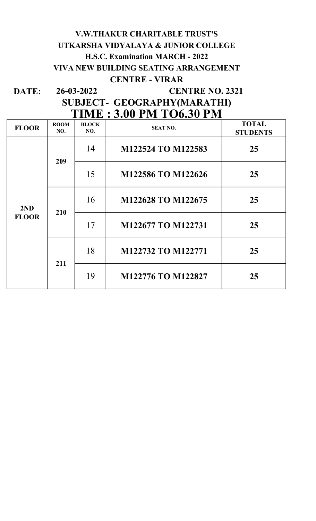# V.W.THAKUR CHARITABLE TRUST'S UTKARSHA VIDYALAYA & JUNIOR COLLEGE H.S.C. Examination MARCH - 2022 VIVA NEW BUILDING SEATING ARRANGEMENT CENTRE - VIRAR

DATE: 26-03-2022 CENTRE NO. 2321

## SUBJECT- GEOGRAPHY(MARATHI) TIME : 3.00 PM TO6.30 PM

| <b>FLOOR</b> | <b>ROOM</b><br>NO. | <b>BLOCK</b><br>NO. | <b>SEAT NO.</b>    | <b>TOTAL</b><br><b>STUDENTS</b> |
|--------------|--------------------|---------------------|--------------------|---------------------------------|
|              | 209                | 14                  | M122524 TO M122583 | 25                              |
|              |                    | 15                  | M122586 TO M122626 | 25                              |
| 2ND          |                    | 16                  | M122628 TO M122675 | 25                              |
| <b>FLOOR</b> | 210                | 17                  | M122677 TO M122731 | 25                              |
|              |                    | 18                  | M122732 TO M122771 | 25                              |
|              | 211                | 19                  | M122776 TO M122827 | 25                              |